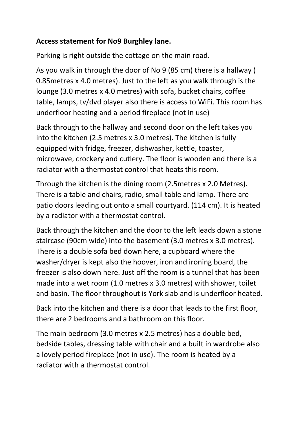## **Access statement for No9 Burghley lane.**

Parking is right outside the cottage on the main road.

As you walk in through the door of No 9 (85 cm) there is a hallway ( 0.85metres x 4.0 metres). Just to the left as you walk through is the lounge (3.0 metres x 4.0 metres) with sofa, bucket chairs, coffee table, lamps, tv/dvd player also there is access to WiFi. This room has underfloor heating and a period fireplace (not in use)

Back through to the hallway and second door on the left takes you into the kitchen (2.5 metres x 3.0 metres). The kitchen is fully equipped with fridge, freezer, dishwasher, kettle, toaster, microwave, crockery and cutlery. The floor is wooden and there is a radiator with a thermostat control that heats this room.

Through the kitchen is the dining room (2.5metres x 2.0 Metres). There is a table and chairs, radio, small table and lamp. There are patio doors leading out onto a small courtyard. (114 cm). It is heated by a radiator with a thermostat control.

Back through the kitchen and the door to the left leads down a stone staircase (90cm wide) into the basement (3.0 metres x 3.0 metres). There is a double sofa bed down here, a cupboard where the washer/dryer is kept also the hoover, iron and ironing board, the freezer is also down here. Just off the room is a tunnel that has been made into a wet room (1.0 metres x 3.0 metres) with shower, toilet and basin. The floor throughout is York slab and is underfloor heated.

Back into the kitchen and there is a door that leads to the first floor, there are 2 bedrooms and a bathroom on this floor.

The main bedroom (3.0 metres x 2.5 metres) has a double bed, bedside tables, dressing table with chair and a built in wardrobe also a lovely period fireplace (not in use). The room is heated by a radiator with a thermostat control.